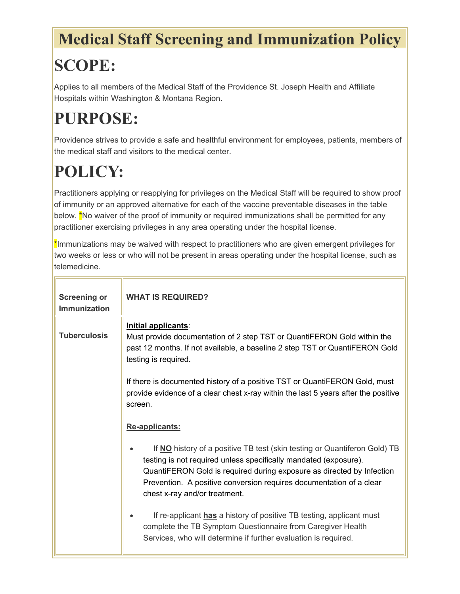### **Medical Staff Screening and Immunization Policy**

## **SCOPE:**

Applies to all members of the Medical Staff of the Providence St. Joseph Health and Affiliate Hospitals within Washington & Montana Region.

## **PURPOSE:**

Providence strives to provide a safe and healthful environment for employees, patients, members of the medical staff and visitors to the medical center.

# **POLICY:**

Practitioners applying or reapplying for privileges on the Medical Staff will be required to show proof of immunity or an approved alternative for each of the vaccine preventable diseases in the table below. <sup>\*</sup>No waiver of the proof of immunity or required immunizations shall be permitted for any practitioner exercising privileges in any area operating under the hospital license.

\*Immunizations may be waived with respect to practitioners who are given emergent privileges for two weeks or less or who will not be present in areas operating under the hospital license, such as telemedicine.

| <b>Screening or</b><br><b>Immunization</b> | <b>WHAT IS REQUIRED?</b>                                                                                                                                                                                                                                                                                                       |
|--------------------------------------------|--------------------------------------------------------------------------------------------------------------------------------------------------------------------------------------------------------------------------------------------------------------------------------------------------------------------------------|
| <b>Tuberculosis</b>                        | Initial applicants:<br>Must provide documentation of 2 step TST or QuantiFERON Gold within the<br>past 12 months. If not available, a baseline 2 step TST or QuantiFERON Gold<br>testing is required.                                                                                                                          |
|                                            | If there is documented history of a positive TST or QuantiFERON Gold, must<br>provide evidence of a clear chest x-ray within the last 5 years after the positive<br>screen.                                                                                                                                                    |
|                                            | Re-applicants:                                                                                                                                                                                                                                                                                                                 |
|                                            | If NO history of a positive TB test (skin testing or Quantiferon Gold) TB<br>testing is not required unless specifically mandated (exposure).<br>QuantiFERON Gold is required during exposure as directed by Infection<br>Prevention. A positive conversion requires documentation of a clear<br>chest x-ray and/or treatment. |
|                                            | If re-applicant has a history of positive TB testing, applicant must<br>complete the TB Symptom Questionnaire from Caregiver Health<br>Services, who will determine if further evaluation is required.                                                                                                                         |